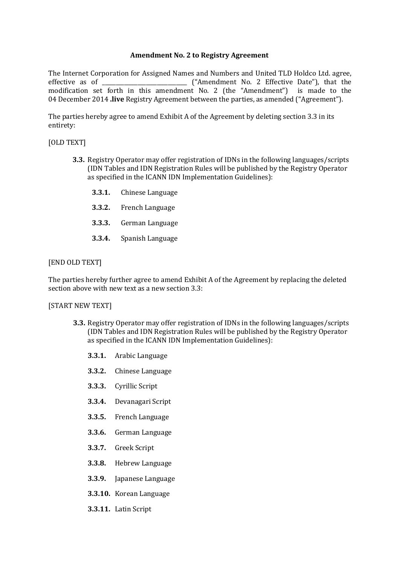## **Amendment No. 2 to Registry Agreement**

The Internet Corporation for Assigned Names and Numbers and United TLD Holdco Ltd. agree, effective as of \_\_\_\_\_\_\_\_\_\_\_\_\_\_\_\_\_\_\_\_\_\_\_\_\_\_\_\_\_\_\_ ("Amendment No. 2 Effective Date"), that the modification set forth in this amendment No. 2 (the "Amendment") is made to the 04 December 2014 **.live** Registry Agreement between the parties, as amended ("Agreement").

The parties hereby agree to amend Exhibit A of the Agreement by deleting section 3.3 in its entirety:

## [OLD TEXT]

- **3.3.** Registry Operator may offer registration of IDNs in the following languages/scripts (IDN Tables and IDN Registration Rules will be published by the Registry Operator as specified in the ICANN IDN Implementation Guidelines):
	- **3.3.1.** Chinese Language
	- **3.3.2.** French Language
	- **3.3.3.** German Language
	- **3.3.4.** Spanish Language

## [END OLD TEXT]

The parties hereby further agree to amend Exhibit A of the Agreement by replacing the deleted section above with new text as a new section 3.3:

#### [START NEW TEXT]

- **3.3.** Registry Operator may offer registration of IDNs in the following languages/scripts (IDN Tables and IDN Registration Rules will be published by the Registry Operator as specified in the ICANN IDN Implementation Guidelines):
	- **3.3.1.** Arabic Language
	- **3.3.2.** Chinese Language
	- **3.3.3.** Cyrillic Script
	- **3.3.4.** Devanagari Script
	- **3.3.5.** French Language
	- **3.3.6.** German Language
	- **3.3.7.** Greek Script
	- **3.3.8.** Hebrew Language
	- **3.3.9.** Japanese Language
	- **3.3.10.** Korean Language
	- **3.3.11.** Latin Script